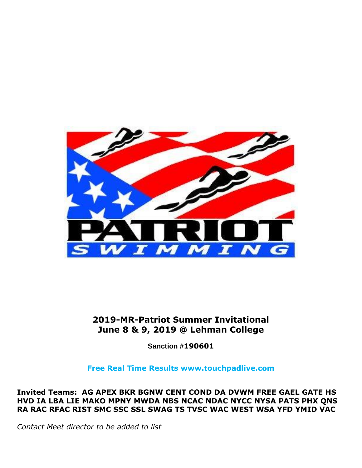

### **2019-MR-Patriot Summer Invitational June 8 & 9, 2019 @ Lehman College**

**Sanction #190601**

**Free Real Time Results www.touchpadlive.com**

**Invited Teams: AG APEX BKR BGNW CENT COND DA DVWM FREE GAEL GATE HS HVD IA LBA LIE MAKO MPNY MWDA NBS NCAC NDAC NYCC NYSA PATS PHX QNS RA RAC RFAC RIST SMC SSC SSL SWAG TS TVSC WAC WEST WSA YFD YMID VAC**

*Contact Meet director to be added to list*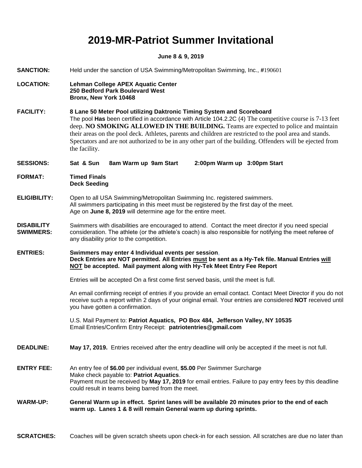# **2019-MR-Patriot Summer Invitational**

#### **June 8 & 9, 2019**

| <b>SANCTION:</b>                      | Held under the sanction of USA Swimming/Metropolitan Swimming, Inc., #190601                                                                                                                                                                                                                                                                                                                                                                                                                                      |  |
|---------------------------------------|-------------------------------------------------------------------------------------------------------------------------------------------------------------------------------------------------------------------------------------------------------------------------------------------------------------------------------------------------------------------------------------------------------------------------------------------------------------------------------------------------------------------|--|
| <b>LOCATION:</b>                      | <b>Lehman College APEX Aquatic Center</b><br>250 Bedford Park Boulevard West<br>Bronx, New York 10468                                                                                                                                                                                                                                                                                                                                                                                                             |  |
| <b>FACILITY:</b>                      | 8 Lane 50 Meter Pool utilizing Daktronic Timing System and Scoreboard<br>The pool Has been certified in accordance with Article 104.2.2C (4) The competitive course is 7-13 feet<br>deep. NO SMOKING ALLOWED IN THE BUILDING. Teams are expected to police and maintain<br>their areas on the pool deck. Athletes, parents and children are restricted to the pool area and stands.<br>Spectators and are not authorized to be in any other part of the building. Offenders will be ejected from<br>the facility. |  |
| <b>SESSIONS:</b>                      | Sat & Sun<br>8am Warm up 9am Start<br>2:00pm Warm up 3:00pm Start                                                                                                                                                                                                                                                                                                                                                                                                                                                 |  |
| <b>FORMAT:</b>                        | <b>Timed Finals</b><br><b>Deck Seeding</b>                                                                                                                                                                                                                                                                                                                                                                                                                                                                        |  |
| <b>ELIGIBILITY:</b>                   | Open to all USA Swimming/Metropolitan Swimming Inc. registered swimmers.<br>All swimmers participating in this meet must be registered by the first day of the meet.<br>Age on June 8, 2019 will determine age for the entire meet.                                                                                                                                                                                                                                                                               |  |
| <b>DISABILITY</b><br><b>SWIMMERS:</b> | Swimmers with disabilities are encouraged to attend. Contact the meet director if you need special<br>consideration. The athlete (or the athlete's coach) is also responsible for notifying the meet referee of<br>any disability prior to the competition.                                                                                                                                                                                                                                                       |  |
| <b>ENTRIES:</b>                       | Swimmers may enter 4 Individual events per session,<br>Deck Entries are NOT permitted. All Entries must be sent as a Hy-Tek file. Manual Entries will<br>NOT be accepted. Mail payment along with Hy-Tek Meet Entry Fee Report                                                                                                                                                                                                                                                                                    |  |
|                                       | Entries will be accepted On a first come first served basis, until the meet is full.                                                                                                                                                                                                                                                                                                                                                                                                                              |  |
|                                       | An email confirming receipt of entries if you provide an email contact. Contact Meet Director if you do not<br>receive such a report within 2 days of your original email. Your entries are considered NOT received until<br>you have gotten a confirmation.                                                                                                                                                                                                                                                      |  |
|                                       | U.S. Mail Payment to: Patriot Aquatics, PO Box 484, Jefferson Valley, NY 10535<br>Email Entries/Confirm Entry Receipt: patriotentries@gmail.com                                                                                                                                                                                                                                                                                                                                                                   |  |
| <b>DEADLINE:</b>                      | May 17, 2019. Entries received after the entry deadline will only be accepted if the meet is not full.                                                                                                                                                                                                                                                                                                                                                                                                            |  |
| <b>ENTRY FEE:</b>                     | An entry fee of \$6.00 per individual event, \$5.00 Per Swimmer Surcharge<br>Make check payable to: Patriot Aquatics.<br>Payment must be received by May 17, 2019 for email entries. Failure to pay entry fees by this deadline<br>could result in teams being barred from the meet.                                                                                                                                                                                                                              |  |
| <b>WARM-UP:</b>                       | General Warm up in effect. Sprint lanes will be available 20 minutes prior to the end of each<br>warm up. Lanes 1 & 8 will remain General warm up during sprints.                                                                                                                                                                                                                                                                                                                                                 |  |

**SCRATCHES:** Coaches will be given scratch sheets upon check-in for each session. All scratches are due no later than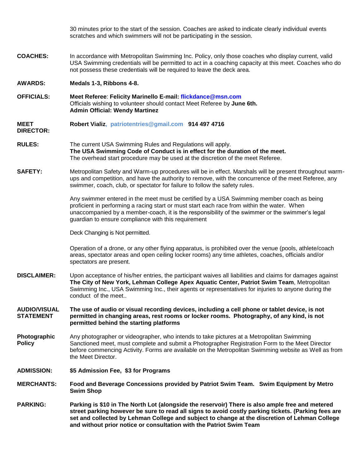30 minutes prior to the start of the session. Coaches are asked to indicate clearly individual events scratches and which swimmers will not be participating in the session. **COACHES:** In accordance with Metropolitan Swimming Inc. Policy, only those coaches who display current, valid USA Swimming credentials will be permitted to act in a coaching capacity at this meet. Coaches who do not possess these credentials will be required to leave the deck area. **AWARDS: Medals 1-3, Ribbons 4-8. OFFICIALS: Meet Referee**: **Felicity Marinello E-mail: flickdance@msn.com** Officials wishing to volunteer should contact Meet Referee by **June 6th. Admin Official: Wendy Martinez MEET DIRECTOR: Robert Vializ, patriotentries@gmail.com 914 497 4716 RULES:** The current USA Swimming Rules and Regulations will apply. **The USA Swimming Code of Conduct is in effect for the duration of the meet.** The overhead start procedure may be used at the discretion of the meet Referee. **SAFETY:** Metropolitan Safety and Warm-up procedures will be in effect. Marshals will be present throughout warmups and competition, and have the authority to remove, with the concurrence of the meet Referee, any swimmer, coach, club, or spectator for failure to follow the safety rules. Any swimmer entered in the meet must be certified by a USA Swimming member coach as being proficient in performing a racing start or must start each race from within the water. When unaccompanied by a member-coach, it is the responsibility of the swimmer or the swimmer's legal guardian to ensure compliance with this requirement Deck Changing is Not permitted. Operation of a drone, or any other flying apparatus, is prohibited over the venue (pools, athlete/coach areas, spectator areas and open ceiling locker rooms) any time athletes, coaches, officials and/or spectators are present. **DISCLAIMER:** Upon acceptance of his/her entries, the participant waives all liabilities and claims for damages against **The City of New York, Lehman College Apex Aquatic Center, Patriot Swim Team**, Metropolitan Swimming Inc., USA Swimming Inc., their agents or representatives for injuries to anyone during the conduct of the meet.. **AUDIO/VISUAL STATEMENT Photographic Policy ADMISSION: The use of audio or visual recording devices, including a cell phone or tablet device, is not permitted in changing areas, rest rooms or locker rooms. Photography, of any kind, is not permitted behind the starting platforms**  Any photographer or videographer, who intends to take pictures at a Metropolitan Swimming Sanctioned meet, must complete and submit a Photographer Registration Form to the Meet Director before commencing Activity. Forms are available on the Metropolitan Swimming website as Well as from the Meet Director. **\$5 Admission Fee, \$3 for Programs MERCHANTS: Food and Beverage Concessions provided by Patriot Swim Team. Swim Equipment by Metro Swim Shop PARKING: Parking is \$10 in The North Lot (alongside the reservoir) There is also ample free and metered street parking however be sure to read all signs to avoid costly parking tickets. (Parking fees are set and collected by Lehman College and subject to change at the discretion of Lehman College and without prior notice or consultation with the Patriot Swim Team**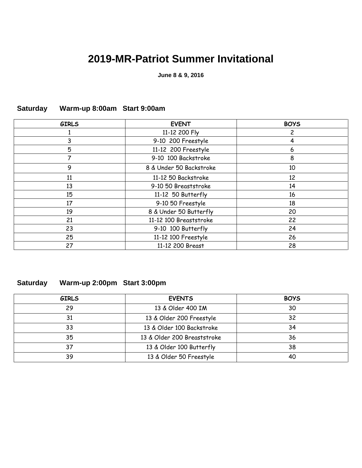# **2019-MR-Patriot Summer Invitational**

**June 8 & 9, 2016**

| <b>GIRLS</b> | <b>EVENT</b>            | <b>BOYS</b> |
|--------------|-------------------------|-------------|
|              | 11-12 200 Fly           | 2           |
| 3            | 9-10 200 Freestyle      | 4           |
| 5            | 11-12 200 Freestyle     | 6           |
| 7            | 9-10 100 Backstroke     | 8           |
| 9            | 8 & Under 50 Backstroke | 10          |
| 11           | 11-12 50 Backstroke     | 12          |
| 13           | 9-10 50 Breaststroke    | 14          |
| 15           | 11-12 50 Butterfly      | 16          |
| 17           | 9-10 50 Freestyle       | 18          |
| 19           | 8 & Under 50 Butterfly  | 20          |
| 21           | 11-12 100 Breaststroke  | 22          |
| 23           | 9-10 100 Butterfly      | 24          |
| 25           | 11-12 100 Freestyle     | 26          |
| 27           | 11-12 200 Breast        | 28          |

#### **Saturday Warm-up 8:00am Start 9:00am**

#### **Saturday Warm-up 2:00pm Start 3:00pm**

| <b>GIRLS</b> | <b>EVENTS</b>               | <b>BOYS</b> |
|--------------|-----------------------------|-------------|
| 29           | 13 & Older 400 IM           | 30          |
| 31           | 13 & Older 200 Freestyle    | 32          |
| 33           | 13 & Older 100 Backstroke   | 34          |
| 35           | 13 & Older 200 Breaststroke | 36          |
| 37           | 13 & Older 100 Butterfly    | 38          |
| 39           | 13 & Older 50 Freestyle     | 40          |